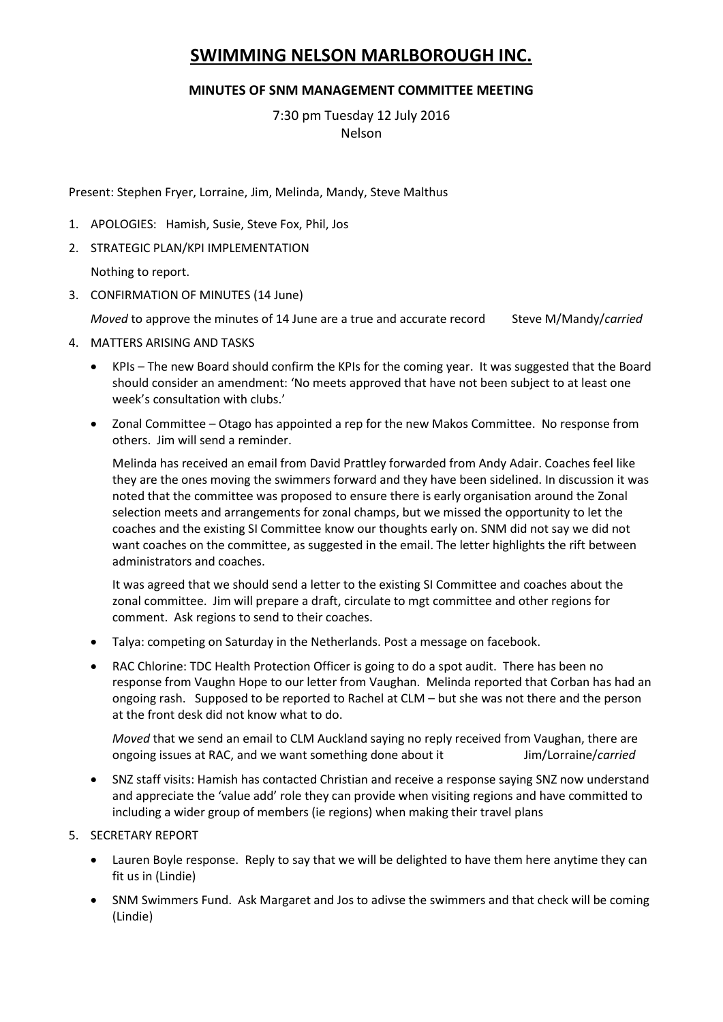# **SWIMMING NELSON MARLBOROUGH INC.**

## **MINUTES OF SNM MANAGEMENT COMMITTEE MEETING**

7:30 pm Tuesday 12 July 2016 Nelson

Present: Stephen Fryer, Lorraine, Jim, Melinda, Mandy, Steve Malthus

- 1. APOLOGIES: Hamish, Susie, Steve Fox, Phil, Jos
- 2. STRATEGIC PLAN/KPI IMPLEMENTATION

Nothing to report.

3. CONFIRMATION OF MINUTES (14 June)

*Moved* to approve the minutes of 14 June are a true and accurate record Steve M/Mandy/*carried* 

- 4. MATTERS ARISING AND TASKS
	- KPIs The new Board should confirm the KPIs for the coming year. It was suggested that the Board should consider an amendment: 'No meets approved that have not been subject to at least one week's consultation with clubs.'
	- Zonal Committee Otago has appointed a rep for the new Makos Committee. No response from others. Jim will send a reminder.

Melinda has received an email from David Prattley forwarded from Andy Adair. Coaches feel like they are the ones moving the swimmers forward and they have been sidelined. In discussion it was noted that the committee was proposed to ensure there is early organisation around the Zonal selection meets and arrangements for zonal champs, but we missed the opportunity to let the coaches and the existing SI Committee know our thoughts early on. SNM did not say we did not want coaches on the committee, as suggested in the email. The letter highlights the rift between administrators and coaches.

It was agreed that we should send a letter to the existing SI Committee and coaches about the zonal committee. Jim will prepare a draft, circulate to mgt committee and other regions for comment. Ask regions to send to their coaches.

- Talya: competing on Saturday in the Netherlands. Post a message on facebook.
- RAC Chlorine: TDC Health Protection Officer is going to do a spot audit. There has been no response from Vaughn Hope to our letter from Vaughan. Melinda reported that Corban has had an ongoing rash. Supposed to be reported to Rachel at CLM – but she was not there and the person at the front desk did not know what to do.

*Moved* that we send an email to CLM Auckland saying no reply received from Vaughan, there are ongoing issues at RAC, and we want something done about it Jim/Lorraine/*carried*

- SNZ staff visits: Hamish has contacted Christian and receive a response saying SNZ now understand and appreciate the 'value add' role they can provide when visiting regions and have committed to including a wider group of members (ie regions) when making their travel plans
- 5. SECRETARY REPORT
	- Lauren Boyle response. Reply to say that we will be delighted to have them here anytime they can fit us in (Lindie)
	- SNM Swimmers Fund. Ask Margaret and Jos to adivse the swimmers and that check will be coming (Lindie)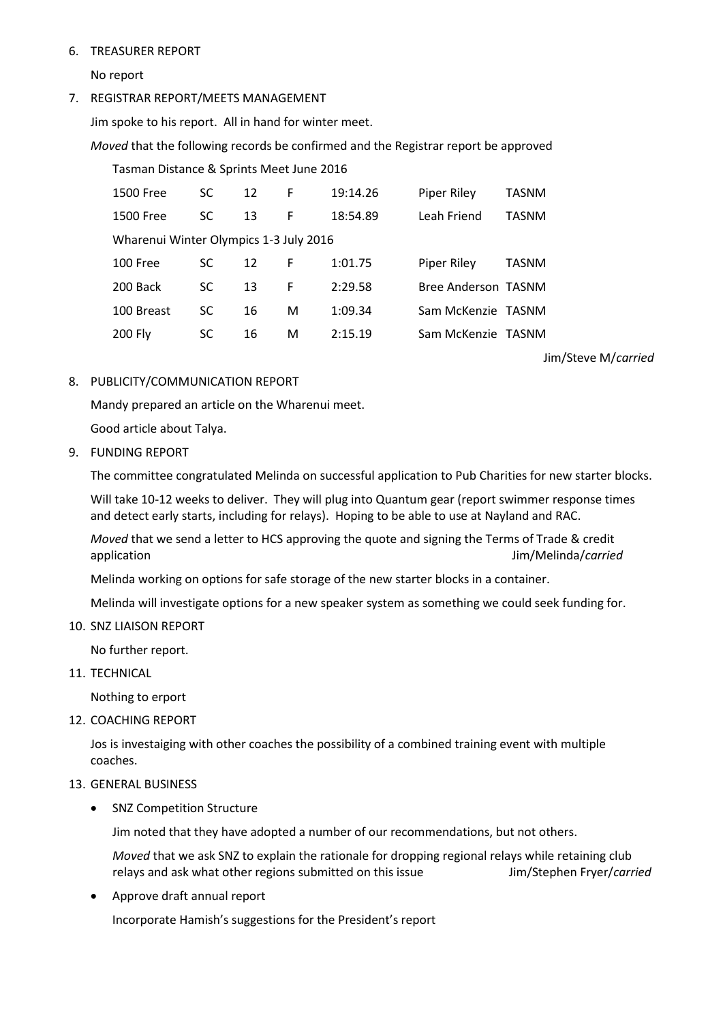### 6. TREASURER REPORT

No report

7. REGISTRAR REPORT/MEETS MANAGEMENT

Jim spoke to his report. All in hand for winter meet.

*Moved* that the following records be confirmed and the Registrar report be approved

| Tasman Distance & Sprints Meet June 2016 |           |    |   |          |                     |              |
|------------------------------------------|-----------|----|---|----------|---------------------|--------------|
| <b>1500 Free</b>                         | <b>SC</b> | 12 | F | 19:14.26 | <b>Piper Riley</b>  | TASNM        |
| <b>1500 Free</b>                         | SC        | 13 | F | 18:54.89 | Leah Friend         | <b>TASNM</b> |
| Wharenui Winter Olympics 1-3 July 2016   |           |    |   |          |                     |              |
| 100 Free                                 | SC        | 12 | F | 1:01.75  | <b>Piper Riley</b>  | <b>TASNM</b> |
| 200 Back                                 | <b>SC</b> | 13 | F | 2:29.58  | Bree Anderson TASNM |              |
| 100 Breast                               | SC        | 16 | м | 1:09.34  | Sam McKenzie TASNM  |              |
| 200 Fly                                  | SC        | 16 | М | 2:15.19  | Sam McKenzie TASNM  |              |

Jim/Steve M/*carried*

#### 8. PUBLICITY/COMMUNICATION REPORT

Mandy prepared an article on the Wharenui meet.

Good article about Talya.

9. FUNDING REPORT

The committee congratulated Melinda on successful application to Pub Charities for new starter blocks.

Will take 10-12 weeks to deliver. They will plug into Quantum gear (report swimmer response times and detect early starts, including for relays). Hoping to be able to use at Nayland and RAC.

*Moved* that we send a letter to HCS approving the quote and signing the Terms of Trade & credit application Jim/Melinda/*carried*

Melinda working on options for safe storage of the new starter blocks in a container.

Melinda will investigate options for a new speaker system as something we could seek funding for.

10. SNZ LIAISON REPORT

No further report.

11. TECHNICAL

Nothing to erport

12. COACHING REPORT

Jos is investaiging with other coaches the possibility of a combined training event with multiple coaches.

#### 13. GENERAL BUSINESS

• SNZ Competition Structure

Jim noted that they have adopted a number of our recommendations, but not others.

*Moved* that we ask SNZ to explain the rationale for dropping regional relays while retaining club relays and ask what other regions submitted on this issue Jim/Stephen Fryer/*carried*

Approve draft annual report

Incorporate Hamish's suggestions for the President's report